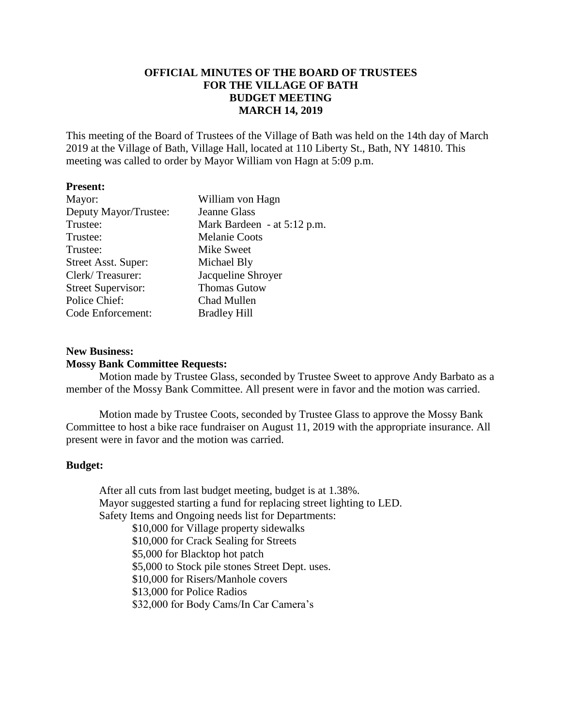# **OFFICIAL MINUTES OF THE BOARD OF TRUSTEES FOR THE VILLAGE OF BATH BUDGET MEETING MARCH 14, 2019**

This meeting of the Board of Trustees of the Village of Bath was held on the 14th day of March 2019 at the Village of Bath, Village Hall, located at 110 Liberty St., Bath, NY 14810. This meeting was called to order by Mayor William von Hagn at 5:09 p.m.

### **Present:**

| Mayor:                    | William von Hagn            |
|---------------------------|-----------------------------|
| Deputy Mayor/Trustee:     | <b>Jeanne Glass</b>         |
| Trustee:                  | Mark Bardeen - at 5:12 p.m. |
| Trustee:                  | <b>Melanie Coots</b>        |
| Trustee:                  | Mike Sweet                  |
| Street Asst. Super:       | Michael Bly                 |
| Clerk/Treasurer:          | Jacqueline Shroyer          |
| <b>Street Supervisor:</b> | <b>Thomas Gutow</b>         |
| Police Chief:             | Chad Mullen                 |
| Code Enforcement:         | <b>Bradley Hill</b>         |
|                           |                             |

## **New Business: Mossy Bank Committee Requests:**

Motion made by Trustee Glass, seconded by Trustee Sweet to approve Andy Barbato as a member of the Mossy Bank Committee. All present were in favor and the motion was carried.

Motion made by Trustee Coots, seconded by Trustee Glass to approve the Mossy Bank Committee to host a bike race fundraiser on August 11, 2019 with the appropriate insurance. All present were in favor and the motion was carried.

### **Budget:**

After all cuts from last budget meeting, budget is at 1.38%. Mayor suggested starting a fund for replacing street lighting to LED. Safety Items and Ongoing needs list for Departments:

\$10,000 for Village property sidewalks \$10,000 for Crack Sealing for Streets \$5,000 for Blacktop hot patch \$5,000 to Stock pile stones Street Dept. uses. \$10,000 for Risers/Manhole covers \$13,000 for Police Radios \$32,000 for Body Cams/In Car Camera's